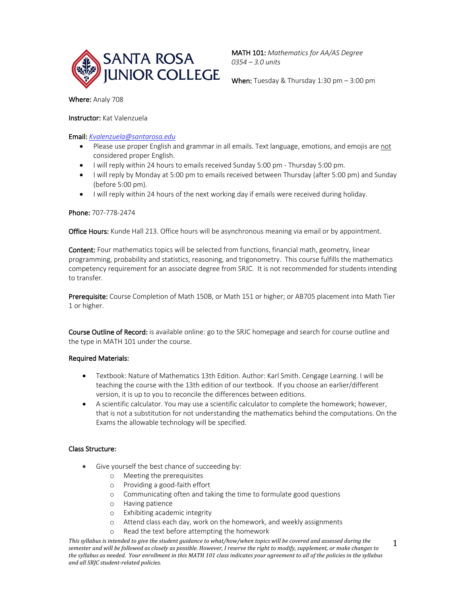

MATH 101: *Mathematics for AA/AS Degree 0354 – 3.0 units*

When: Tuesday & Thursday 1:30 pm - 3:00 pm

Where: Analy 708

Instructor: Kat Valenzuela

Email: *Kvalenzuela@santarosa.edu*

- Please use proper English and grammar in all emails. Text language, emotions, and emojis are not considered proper English.
- I will reply within 24 hours to emails received Sunday 5:00 pm Thursday 5:00 pm.
- I will reply by Monday at 5:00 pm to emails received between Thursday (after 5:00 pm) and Sunday (before 5:00 pm).
- I will reply within 24 hours of the next working day if emails were received during holiday.

## Phone: 707-778-2474

Office Hours: Kunde Hall 213. Office hours will be asynchronous meaning via email or by appointment.

Content: Four mathematics topics will be selected from functions, financial math, geometry, linear programming, probability and statistics, reasoning, and trigonometry. This course fulfills the mathematics competency requirement for an associate degree from SRJC. It is not recommended for students intending to transfer.

Prerequisite: Course Completion of Math 150B, or Math 151 or higher; or AB705 placement into Math Tier 1 or higher.

Course Outline of Record: is available online: go to the SRJC homepage and search for course outline and the type in MATH 101 under the course.

# Required Materials:

- Textbook: Nature of Mathematics 13th Edition. Author: Karl Smith. Cengage Learning. I will be teaching the course with the 13th edition of our textbook. If you choose an earlier/different version, it is up to you to reconcile the differences between editions.
- A scientific calculator. You may use a scientific calculator to complete the homework; however, that is not a substitution for not understanding the mathematics behind the computations. On the Exams the allowable technology will be specified.

# Class Structure:

- Give yourself the best chance of succeeding by:
	- o Meeting the prerequisites
	- o Providing a good-faith effort
	- o Communicating often and taking the time to formulate good questions
	- o Having patience
	- o Exhibiting academic integrity
	- o Attend class each day, work on the homework, and weekly assignments
	- Read the text before attempting the homework

This syllabus is intended to give the student guidance to what/how/when topics will be covered and assessed during the semester and will be followed as closely as possible. However, I reserve the right to modify, supplement, or make changes to the syllabus as needed. Your enrollment in this MATH 101 class indicates your agreement to all of the policies in the syllabus *and all SRJC student-related policies.*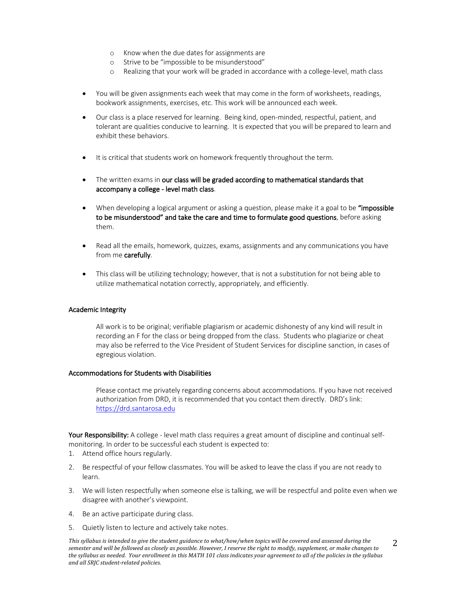- o Know when the due dates for assignments are
- o Strive to be "impossible to be misunderstood"
- o Realizing that your work will be graded in accordance with a college-level, math class
- You will be given assignments each week that may come in the form of worksheets, readings, bookwork assignments, exercises, etc. This work will be announced each week.
- Our class is a place reserved for learning. Being kind, open-minded, respectful, patient, and tolerant are qualities conducive to learning. It is expected that you will be prepared to learn and exhibit these behaviors.
- It is critical that students work on homework frequently throughout the term.
- The written exams in our class will be graded according to mathematical standards that accompany a college - level math class.
- When developing a logical argument or asking a question, please make it a goal to be "impossible" to be misunderstood" and take the care and time to formulate good questions, before asking them.
- Read all the emails, homework, quizzes, exams, assignments and any communications you have from me carefully.
- This class will be utilizing technology; however, that is not a substitution for not being able to utilize mathematical notation correctly, appropriately, and efficiently.

### Academic Integrity

All work is to be original; verifiable plagiarism or academic dishonesty of any kind will result in recording an F for the class or being dropped from the class. Students who plagiarize or cheat may also be referred to the Vice President of Student Services for discipline sanction, in cases of egregious violation.

### Accommodations for Students with Disabilities

Please contact me privately regarding concerns about accommodations. If you have not received authorization from DRD, it is recommended that you contact them directly. DRD's link: https://drd.santarosa.edu

Your Responsibility: A college - level math class requires a great amount of discipline and continual selfmonitoring. In order to be successful each student is expected to:

- 1. Attend office hours regularly.
- 2. Be respectful of your fellow classmates. You will be asked to leave the class if you are not ready to learn.
- 3. We will listen respectfully when someone else is talking, we will be respectful and polite even when we disagree with another's viewpoint.
- 4. Be an active participate during class.
- 5. Quietly listen to lecture and actively take notes.

This syllabus is intended to give the student guidance to what/how/when topics will be covered and assessed during the semester and will be followed as closely as possible. However, I reserve the right to modify, supplement, or make changes to the syllabus as needed. Your enrollment in this MATH 101 class indicates your agreement to all of the policies in the syllabus *and all SRJC student-related policies.* 2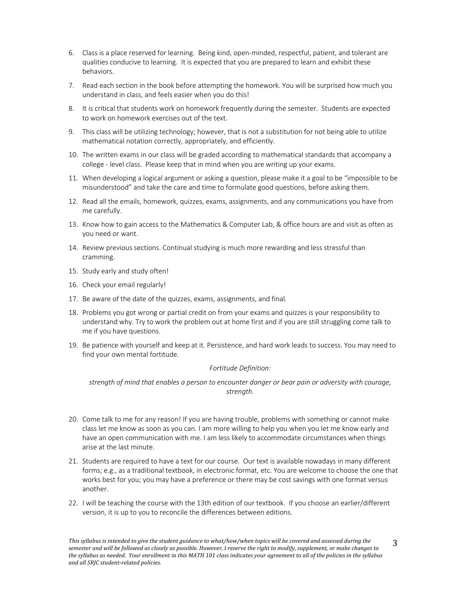- 6. Class is a place reserved for learning. Being kind, open-minded, respectful, patient, and tolerant are qualities conducive to learning. It is expected that you are prepared to learn and exhibit these behaviors.
- 7. Read each section in the book before attempting the homework. You will be surprised how much you understand in class, and feels easier when you do this!
- 8. It is critical that students work on homework frequently during the semester. Students are expected to work on homework exercises out of the text.
- 9. This class will be utilizing technology; however, that is not a substitution for not being able to utilize mathematical notation correctly, appropriately, and efficiently.
- 10. The written exams in our class will be graded according to mathematical standards that accompany a college - level class. Please keep that in mind when you are writing up your exams.
- 11. When developing a logical argument or asking a question, please make it a goal to be "impossible to be misunderstood" and take the care and time to formulate good questions, before asking them.
- 12. Read all the emails, homework, quizzes, exams, assignments, and any communications you have from me carefully.
- 13. Know how to gain access to the Mathematics & Computer Lab, & office hours are and visit as often as you need or want.
- 14. Review previous sections. Continual studying is much more rewarding and less stressful than cramming.
- 15. Study early and study often!
- 16. Check your email regularly!
- 17. Be aware of the date of the quizzes, exams, assignments, and final.
- 18. Problems you got wrong or partial credit on from your exams and quizzes is your responsibility to understand why. Try to work the problem out at home first and if you are still struggling come talk to me if you have questions.
- 19. Be patience with yourself and keep at it. Persistence, and hard work leads to success. You may need to find your own mental fortitude.

### *Fortitude Definition:*

*strength of mind that enables a person to encounter danger or bear pain or adversity with courage, strength.*

- 20. Come talk to me for any reason! If you are having trouble, problems with something or cannot make class let me know as soon as you can. I am more willing to help you when you let me know early and have an open communication with me. I am less likely to accommodate circumstances when things arise at the last minute.
- 21. Students are required to have a text for our course. Our text is available nowadays in many different forms; e.g., as a traditional textbook, in electronic format, etc. You are welcome to choose the one that works best for you; you may have a preference or there may be cost savings with one format versus another.
- 22. I will be teaching the course with the 13th edition of our textbook. If you choose an earlier/different version, it is up to you to reconcile the differences between editions.

This syllabus is intended to give the student guidance to what/how/when topics will be covered and assessed during the semester and will be followed as closely as possible. However, I reserve the right to modify, supplement, or make changes to the syllabus as needed. Your enrollment in this MATH 101 class indicates your agreement to all of the policies in the syllabus *and all SRJC student-related policies.* 3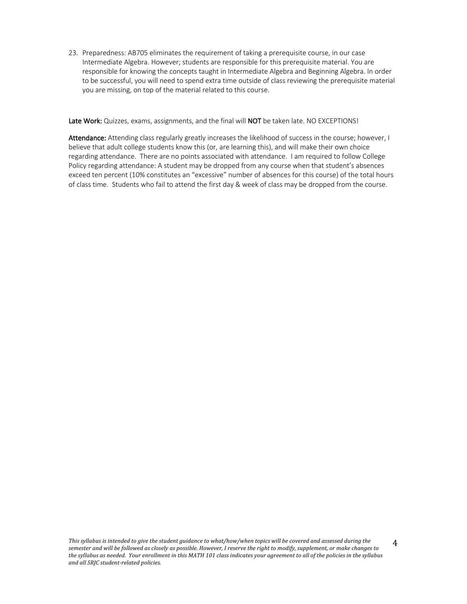23. Preparedness: AB705 eliminates the requirement of taking a prerequisite course, in our case Intermediate Algebra. However; students are responsible for this prerequisite material. You are responsible for knowing the concepts taught in Intermediate Algebra and Beginning Algebra. In order to be successful, you will need to spend extra time outside of class reviewing the prerequisite material you are missing, on top of the material related to this course.

Late Work: Quizzes, exams, assignments, and the final will NOT be taken late. NO EXCEPTIONS!

Attendance: Attending class regularly greatly increases the likelihood of success in the course; however, I believe that adult college students know this (or, are learning this), and will make their own choice regarding attendance. There are no points associated with attendance. I am required to follow College Policy regarding attendance: A student may be dropped from any course when that student's absences exceed ten percent (10% constitutes an "excessive" number of absences for this course) of the total hours of class time. Students who fail to attend the first day & week of class may be dropped from the course.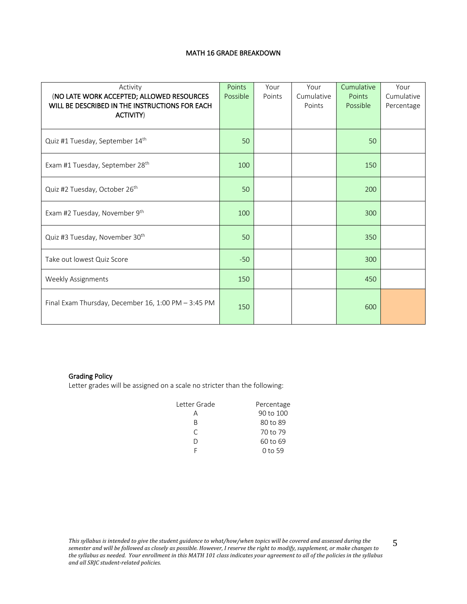## MATH 16 GRADE BREAKDOWN

| Activity<br>(NO LATE WORK ACCEPTED; ALLOWED RESOURCES<br>WILL BE DESCRIBED IN THE INSTRUCTIONS FOR EACH<br><b>ACTIVITY)</b> | Points<br>Possible | Your<br>Points | Your<br>Cumulative<br>Points | Cumulative<br>Points<br>Possible | Your<br>Cumulative<br>Percentage |
|-----------------------------------------------------------------------------------------------------------------------------|--------------------|----------------|------------------------------|----------------------------------|----------------------------------|
| Quiz #1 Tuesday, September 14th                                                                                             | 50                 |                |                              | 50                               |                                  |
| Exam #1 Tuesday, September 28 <sup>th</sup>                                                                                 | 100                |                |                              | 150                              |                                  |
| Quiz #2 Tuesday, October 26 <sup>th</sup>                                                                                   | 50                 |                |                              | 200                              |                                  |
| Exam #2 Tuesday, November 9th                                                                                               | 100                |                |                              | 300                              |                                  |
| Quiz #3 Tuesday, November 30th                                                                                              | 50                 |                |                              | 350                              |                                  |
| Take out lowest Quiz Score                                                                                                  | $-50$              |                |                              | 300                              |                                  |
| <b>Weekly Assignments</b>                                                                                                   | 150                |                |                              | 450                              |                                  |
| Final Exam Thursday, December 16, 1:00 PM - 3:45 PM                                                                         | 150                |                |                              | 600                              |                                  |

# Grading Policy

Letter grades will be assigned on a scale no stricter than the following:

| Letter Grade | Percentage |
|--------------|------------|
|              | 90 to 100  |
| R            | 80 to 89   |
| C            | 70 to 79   |
| Ð            | 60 to 69   |
|              | 0 to 59    |

This syllabus is intended to give the student guidance to what/how/when topics will be covered and assessed during the semester and will be followed as closely as possible. However, I reserve the right to modify, supplement, or make changes to the syllabus as needed. Your enrollment in this MATH 101 class indicates your agreement to all of the policies in the syllabus *and all SRJC student-related policies.*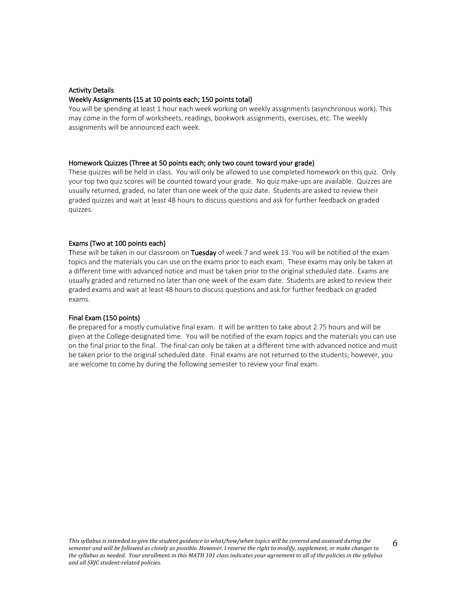# Activity Details Weekly Assignments (15 at 10 points each; 150 points total)

You will be spending at least 1 hour each week working on weekly assignments (asynchronous work). This may come in the form of worksheets, readings, bookwork assignments, exercises, etc. The weekly assignments will be announced each week.

## Homework Quizzes (Three at 50 points each; only two count toward your grade)

These quizzes will be held in class. You will only be allowed to use completed homework on this quiz. Only your top two quiz scores will be counted toward your grade. No quiz make-ups are available. Quizzes are usually returned, graded, no later than one week of the quiz date. Students are asked to review their graded quizzes and wait at least 48 hours to discuss questions and ask for further feedback on graded quizzes.

## Exams (Two at 100 points each)

These will be taken in our classroom on Tuesday of week 7 and week 13. You will be notified of the exam topics and the materials you can use on the exams prior to each exam. These exams may only be taken at a different time with advanced notice and must be taken prior to the original scheduled date. Exams are usually graded and returned no later than one week of the exam date. Students are asked to review their graded exams and wait at least 48 hours to discuss questions and ask for further feedback on graded exams.

### Final Exam (150 points)

Be prepared for a mostly cumulative final exam. It will be written to take about 2.75 hours and will be given at the College-designated time. You will be notified of the exam topics and the materials you can use on the final prior to the final. The final can only be taken at a different time with advanced notice and must be taken prior to the original scheduled date. Final exams are not returned to the students; however, you are welcome to come by during the following semester to review your final exam.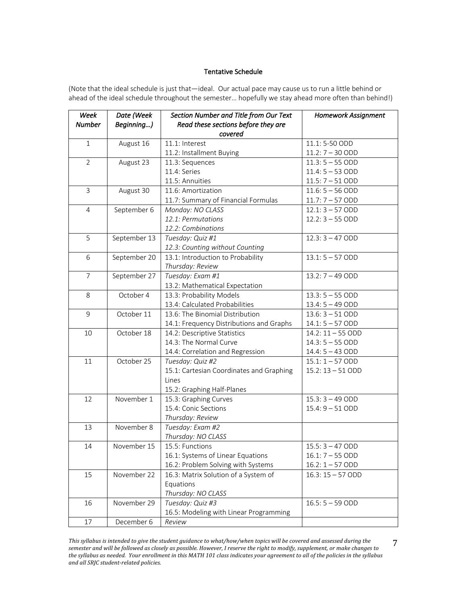# Tentative Schedule

(Note that the ideal schedule is just that—ideal. Our actual pace may cause us to run a little behind or ahead of the ideal schedule throughout the semester… hopefully we stay ahead more often than behind!)

| Week           | Date (Week   | Section Number and Title from Our Text   | Homework Assignment |
|----------------|--------------|------------------------------------------|---------------------|
| <b>Number</b>  | Beginning)   | Read these sections before they are      |                     |
|                |              | covered                                  |                     |
| $\mathbf{1}$   | August 16    | 11.1: Interest                           | 11.1:5-50 ODD       |
|                |              | 11.2: Installment Buying                 | $11.2:7 - 30$ ODD   |
| 2              | August 23    | 11.3: Sequences                          | $11.3:5 - 55$ ODD   |
|                |              | 11.4: Series                             | $11.4:5 - 53$ ODD   |
|                |              | 11.5: Annuities                          | $11.5:7 - 51$ ODD   |
| 3              | August 30    | 11.6: Amortization                       | $11.6:5 - 56$ ODD   |
|                |              | 11.7: Summary of Financial Formulas      | $11.7:7 - 57$ ODD   |
| $\overline{4}$ | September 6  | Monday: NO CLASS                         | $12.1:3 - 57$ ODD   |
|                |              | 12.1: Permutations                       | $12.2:3 - 55$ ODD   |
|                |              | 12.2: Combinations                       |                     |
| 5              | September 13 | Tuesday: Quiz #1                         | $12.3:3 - 47$ ODD   |
|                |              | 12.3: Counting without Counting          |                     |
| 6              | September 20 | 13.1: Introduction to Probability        | $13.1:5 - 57$ ODD   |
|                |              | Thursday: Review                         |                     |
| $\overline{7}$ | September 27 | Tuesday: Exam #1                         | $13.2:7 - 49$ ODD   |
|                |              | 13.2: Mathematical Expectation           |                     |
| 8              | October 4    | 13.3: Probability Models                 | $13.3:5 - 55$ ODD   |
|                |              | 13.4: Calculated Probabilities           | $13.4:5 - 49$ ODD   |
| 9              | October 11   | 13.6: The Binomial Distribution          | $13.6:3 - 51$ ODD   |
|                |              | 14.1: Frequency Distributions and Graphs | $14.1:5 - 57 ODD$   |
| 10             | October 18   | 14.2: Descriptive Statistics             | $14.2:11 - 55 ODD$  |
|                |              | 14.3: The Normal Curve                   | $14.3:5 - 55$ ODD   |
|                |              | 14.4: Correlation and Regression         | $14.4:5 - 43$ ODD   |
| 11             | October 25   | Tuesday: Quiz #2                         | $15.1:1 - 57 ODD$   |
|                |              | 15.1: Cartesian Coordinates and Graphing | $15.2:13 - 51$ ODD  |
|                |              | Lines                                    |                     |
|                |              | 15.2: Graphing Half-Planes               |                     |
| 12             | November 1   | 15.3: Graphing Curves                    | $15.3:3 - 49$ ODD   |
|                |              | 15.4: Conic Sections                     | $15.4:9 - 51$ ODD   |
|                |              | Thursday: Review                         |                     |
| 13             | November 8   | Tuesday: Exam #2                         |                     |
|                |              | Thursday: NO CLASS                       |                     |
| 14             | November 15  | 15.5: Functions                          | $15.5:3 - 47$ ODD   |
|                |              | 16.1: Systems of Linear Equations        | $16.1:7 - 55$ ODD   |
|                |              | 16.2: Problem Solving with Systems       | $16.2:1 - 57$ ODD   |
| 15             | November 22  | 16.3: Matrix Solution of a System of     | $16.3:15 - 57 ODD$  |
|                |              | Equations                                |                     |
|                |              | Thursday: NO CLASS                       |                     |
| 16             | November 29  | Tuesday: Quiz #3                         | $16.5: 5 - 59 ODD$  |
|                |              | 16.5: Modeling with Linear Programming   |                     |
| $17\,$         | December 6   | Review                                   |                     |

This syllabus is intended to give the student guidance to what/how/when topics will be covered and assessed during the semester and will be followed as closely as possible. However, I reserve the right to modify, supplement, or make changes to the syllabus as needed. Your enrollment in this MATH 101 class indicates your agreement to all of the policies in the syllabus *and all SRJC student-related policies.*